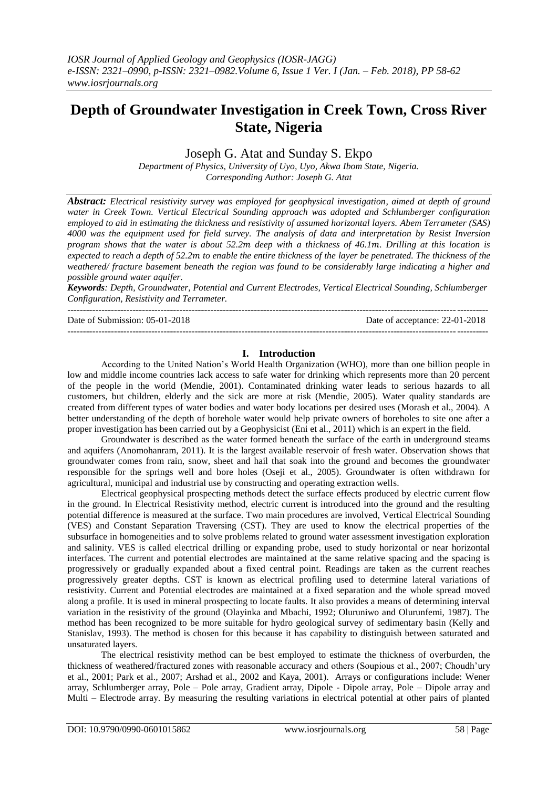# **Depth of Groundwater Investigation in Creek Town, Cross River State, Nigeria**

## Joseph G. Atat and Sunday S. Ekpo

*Department of Physics, University of Uyo, Uyo, Akwa Ibom State, Nigeria. Corresponding Author: Joseph G. Atat*

*Abstract: Electrical resistivity survey was employed for geophysical investigation, aimed at depth of ground water in Creek Town. Vertical Electrical Sounding approach was adopted and Schlumberger configuration employed to aid in estimating the thickness and resistivity of assumed horizontal layers. Abem Terrameter (SAS) 4000 was the equipment used for field survey. The analysis of data and interpretation by Resist Inversion program shows that the water is about 52.2 deep with a thickness of 46.1. Drilling at this location is expected to reach a depth of 52.2 to enable the entire thickness of the layer be penetrated. The thickness of the weathered/ fracture basement beneath the region was found to be considerably large indicating a higher and possible ground water aquifer.* 

*Keywords: Depth, Groundwater, Potential and Current Electrodes, Vertical Electrical Sounding, Schlumberger Configuration, Resistivity and Terrameter.*

---------------------------------------------------------------------------------------------------------------------------------------

Date of Submission: 05-01-2018 Date of acceptance: 22-01-2018

---------------------------------------------------------------------------------------------------------------------------------------

#### **I. Introduction**

According to the United Nation's World Health Organization (WHO), more than one billion people in low and middle income countries lack access to safe water for drinking which represents more than 20 percent of the people in the world (Mendie, 2001). Contaminated drinking water leads to serious hazards to all customers, but children, elderly and the sick are more at risk (Mendie, 2005). Water quality standards are created from different types of water bodies and water body locations per desired uses (Morash et al., 2004). A better understanding of the depth of borehole water would help private owners of boreholes to site one after a proper investigation has been carried out by a Geophysicist (Eni et al., 2011) which is an expert in the field.

Groundwater is described as the water formed beneath the surface of the earth in underground steams and aquifers (Anomohanram, 2011). It is the largest available reservoir of fresh water. Observation shows that groundwater comes from rain, snow, sheet and hail that soak into the ground and becomes the groundwater responsible for the springs well and bore holes (Oseji et al., 2005). Groundwater is often withdrawn for agricultural, municipal and industrial use by constructing and operating extraction wells.

Electrical geophysical prospecting methods detect the surface effects produced by electric current flow in the ground. In Electrical Resistivity method, electric current is introduced into the ground and the resulting potential difference is measured at the surface. Two main procedures are involved, Vertical Electrical Sounding (VES) and Constant Separation Traversing (CST). They are used to know the electrical properties of the subsurface in homogeneities and to solve problems related to ground water assessment investigation exploration and salinity. VES is called electrical drilling or expanding probe, used to study horizontal or near horizontal interfaces. The current and potential electrodes are maintained at the same relative spacing and the spacing is progressively or gradually expanded about a fixed central point. Readings are taken as the current reaches progressively greater depths. CST is known as electrical profiling used to determine lateral variations of resistivity. Current and Potential electrodes are maintained at a fixed separation and the whole spread moved along a profile. It is used in mineral prospecting to locate faults. It also provides a means of determining interval variation in the resistivity of the ground (Olayinka and Mbachi, 1992; Oluruniwo and Olurunfemi, 1987). The method has been recognized to be more suitable for hydro geological survey of sedimentary basin (Kelly and Stanislav, 1993). The method is chosen for this because it has capability to distinguish between saturated and unsaturated layers.

The electrical resistivity method can be best employed to estimate the thickness of overburden, the thickness of weathered/fractured zones with reasonable accuracy and others (Soupious et al., 2007; Choudh'ury et al., 2001; Park et al., 2007; Arshad et al., 2002 and Kaya, 2001). Arrays or configurations include: Wener array, Schlumberger array, Pole – Pole array, Gradient array, Dipole - Dipole array, Pole – Dipole array and Multi – Electrode array. By measuring the resulting variations in electrical potential at other pairs of planted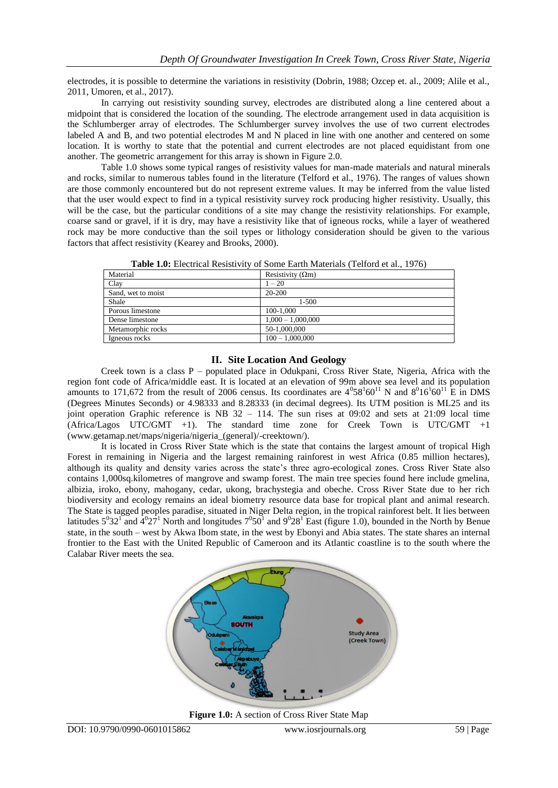electrodes, it is possible to determine the variations in resistivity (Dobrin, 1988; Ozcep et. al., 2009; Alile et al., 2011, Umoren, et al., 2017).

In carrying out resistivity sounding survey, electrodes are distributed along a line centered about a midpoint that is considered the location of the sounding. The electrode arrangement used in data acquisition is the Schlumberger array of electrodes. The Schlumberger survey involves the use of two current electrodes labeled A and B, and two potential electrodes M and N placed in line with one another and centered on some location. It is worthy to state that the potential and current electrodes are not placed equidistant from one another. The geometric arrangement for this array is shown in Figure 2.0.

Table 1.0 shows some typical ranges of resistivity values for man-made materials and natural minerals and rocks, similar to numerous tables found in the literature (Telford et al., 1976). The ranges of values shown are those commonly encountered but do not represent extreme values. It may be inferred from the value listed that the user would expect to find in a typical resistivity survey rock producing higher resistivity. Usually, this will be the case, but the particular conditions of a site may change the resistivity relationships. For example, coarse sand or gravel, if it is dry, may have a resistivity like that of igneous rocks, while a layer of weathered rock may be more conductive than the soil types or lithology consideration should be given to the various factors that affect resistivity (Kearey and Brooks, 2000).

| Tuble 1999 Encentrum Report (10) of Dollie Euron Muternale (Tenoru et un, 1970) |                          |  |  |  |
|---------------------------------------------------------------------------------|--------------------------|--|--|--|
| Material                                                                        | Resistivity $(\Omega m)$ |  |  |  |
| Clay                                                                            | $1 - 20$                 |  |  |  |
| Sand, wet to moist                                                              | 20-200                   |  |  |  |
| Shale                                                                           | $1 - 500$                |  |  |  |
| Porous limestone                                                                | 100-1.000                |  |  |  |
| Dense limestone                                                                 | $1,000 - 1,000,000$      |  |  |  |
| Metamorphic rocks                                                               | 50-1,000,000             |  |  |  |
| Igneous rocks                                                                   | $100 - 1,000,000$        |  |  |  |
|                                                                                 |                          |  |  |  |

**Table 1.0:** Electrical Resistivity of Some Earth Materials (Telford et al., 1976)

#### **II. Site Location And Geology**

Creek town is a class P – populated place in Odukpani, Cross River State, Nigeria, Africa with the region font code of Africa/middle east. It is located at an elevation of 99m above sea level and its population amounts to 171,672 from the result of 2006 census. Its coordinates are  $4^058^160^{11}$  N and  $8^016^160^{11}$  E in DMS (Degrees Minutes Seconds) or 4.98333 and 8.28333 (in decimal degrees). Its UTM position is ML25 and its joint operation Graphic reference is NB 32 – 114. The sun rises at 09:02 and sets at 21:09 local time (Africa/Lagos UTC/GMT +1). The standard time zone for Creek Town is UTC/GMT +1 [\(www.getamap.net/maps/nigeria/nigeria\\_\(general\)/-creektown/\).](http://www.getamap.net/maps/nigeria/nigeria_(general)/-creektown/))

It is located in Cross River State which is the state that contains the largest amount of tropical High Forest in remaining in Nigeria and the largest remaining rainforest in west Africa (0.85 million hectares), although its quality and density varies across the state's three agro-ecological zones. Cross River State also contains 1,000sq.kilometres of mangrove and swamp forest. The main tree species found here include gmelina, albizia, iroko, ebony, mahogany, cedar, ukong, brachystegia and obeche. Cross River State due to her rich biodiversity and ecology remains an ideal biometry resource data base for tropical plant and animal research. The State is tagged peoples paradise, situated in Niger Delta region, in the tropical rainforest belt. It lies between latitudes  $5^032^1$  and  $4^027^1$  North and longitudes  $7^050^1$  and  $9^028^1$  East (figure 1.0), bounded in the North by Benue state, in the south – west by Akwa Ibom state, in the west by Ebonyi and Abia states. The state shares an internal frontier to the East with the United Republic of Cameroon and its Atlantic coastline is to the south where the Calabar River meets the sea.



**Figure 1.0:** A section of Cross River State Map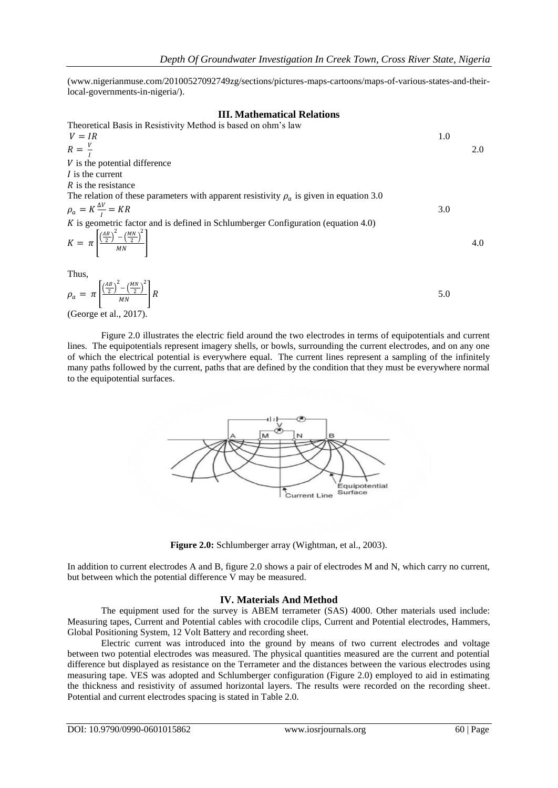(www.nigerianmuse.com/20100527092749zg/sections/pictures-maps-cartoons/maps-of-various-states-and-theirlocal-governments-in-nigeria/).

#### **III. Mathematical Relations**

Theoretical Basis in Resistivity Method is based on ohm's law  $V = IR$  1.0  $R=\frac{V}{I}$ I 2.0  $V$  is the potential difference  *is the current*  $R$  is the resistance The relation of these parameters with apparent resistivity  $\rho_a$  is given in equation 3.0  $\rho_a = K \frac{\Delta V}{I}$  $\mathbf{l}$  $= KR$  3.0  $\overrightarrow{K}$  is geometric factor and is defined in Schlumberger Configuration (equation 4.0)  $K = \pi \left[ \frac{\left(\frac{AB}{2}\right)^2 - \left(\frac{MN}{2}\right)^2}{MN} \right]$  $MN$ **4.0** Thus,  $\overline{AB}$ 2 ΜN 2

$$
\rho_a = \pi \left[ \frac{\left(\frac{AB}{2}\right)^2 - \left(\frac{MN}{2}\right)^2}{MN} \right] R
$$
\n(Gorre et al. 2017)

(George et al., 2017).

Figure 2.0 illustrates the electric field around the two electrodes in terms of equipotentials and current lines. The equipotentials represent imagery shells, or bowls, surrounding the current electrodes, and on any one of which the electrical potential is everywhere equal. The current lines represent a sampling of the infinitely many paths followed by the current, paths that are defined by the condition that they must be everywhere normal to the equipotential surfaces.



**Figure 2.0:** Schlumberger array (Wightman, et al., 2003).

In addition to current electrodes A and B, figure 2.0 shows a pair of electrodes M and N, which carry no current, but between which the potential difference V may be measured.

#### **IV. Materials And Method**

The equipment used for the survey is ABEM terrameter (SAS) 4000. Other materials used include: Measuring tapes, Current and Potential cables with crocodile clips, Current and Potential electrodes, Hammers, Global Positioning System, 12 Volt Battery and recording sheet.

Electric current was introduced into the ground by means of two current electrodes and voltage between two potential electrodes was measured. The physical quantities measured are the current and potential difference but displayed as resistance on the Terrameter and the distances between the various electrodes using measuring tape. VES was adopted and Schlumberger configuration (Figure 2.0) employed to aid in estimating the thickness and resistivity of assumed horizontal layers. The results were recorded on the recording sheet. Potential and current electrodes spacing is stated in Table 2.0.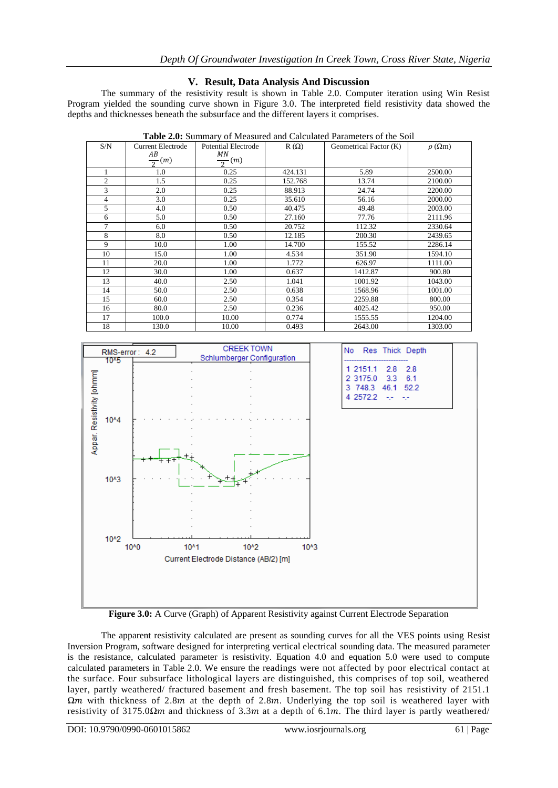### **V. Result, Data Analysis And Discussion**

The summary of the resistivity result is shown in Table 2.0. Computer iteration using Win Resist Program yielded the sounding curve shown in Figure 3.0. The interpreted field resistivity data showed the depths and thicknesses beneath the subsurface and the different layers it comprises.

| S/N            | <b>Current Electrode</b> | <b>Potential Electrode</b> | $R(\Omega)$ | Geometrical Factor (K) | $\rho$ ( $\Omega$ m) |
|----------------|--------------------------|----------------------------|-------------|------------------------|----------------------|
|                | AB                       | ΜN                         |             |                        |                      |
|                | $\frac{1}{2}(m)$         | $\frac{1}{2}(m)$           |             |                        |                      |
| 1              | 1.0                      | 0.25                       | 424.131     | 5.89                   | 2500.00              |
| $\overline{c}$ | 1.5                      | 0.25                       | 152.768     | 13.74                  | 2100.00              |
| 3              | 2.0                      | 0.25                       | 88.913      | 24.74                  | 2200.00              |
| $\overline{4}$ | 3.0                      | 0.25                       | 35.610      | 56.16                  | 2000.00              |
| 5              | 4.0                      | 0.50                       | 40.475      | 49.48                  | 2003.00              |
| 6              | 5.0                      | 0.50                       | 27.160      | 77.76                  | 2111.96              |
| $\tau$         | 6.0                      | 0.50                       | 20.752      | 112.32                 | 2330.64              |
| 8              | 8.0                      | 0.50                       | 12.185      | 200.30                 | 2439.65              |
| 9              | 10.0                     | 1.00                       | 14.700      | 155.52                 | 2286.14              |
| 10             | 15.0                     | 1.00                       | 4.534       | 351.90                 | 1594.10              |
| 11             | 20.0                     | 1.00                       | 1.772       | 626.97                 | 1111.00              |
| 12             | 30.0                     | 1.00                       | 0.637       | 1412.87                | 900.80               |
| 13             | 40.0                     | 2.50                       | 1.041       | 1001.92                | 1043.00              |
| 14             | 50.0                     | 2.50                       | 0.638       | 1568.96                | 1001.00              |
| 15             | 60.0                     | 2.50                       | 0.354       | 2259.88                | 800.00               |
| 16             | 80.0                     | 2.50                       | 0.236       | 4025.42                | 950.00               |
| 17             | 100.0                    | 10.00                      | 0.774       | 1555.55                | 1204.00              |
| 18             | 130.0                    | 10.00                      | 0.493       | 2643.00                | 1303.00              |

**Table 2.0:** Summary of Measured and Calculated Parameters of the Soil



**Figure 3.0:** A Curve (Graph) of Apparent Resistivity against Current Electrode Separation

The apparent resistivity calculated are present as sounding curves for all the VES points using Resist Inversion Program, software designed for interpreting vertical electrical sounding data. The measured parameter is the resistance, calculated parameter is resistivity. Equation 4.0 and equation 5.0 were used to compute calculated parameters in Table 2.0. We ensure the readings were not affected by poor electrical contact at the surface. Four subsurface lithological layers are distinguished, this comprises of top soil, weathered layer, partly weathered/ fractured basement and fresh basement. The top soil has resistivity of 2151.1 *Ωm* with thickness of 2.8*m* at the depth of 2.8*m*. Underlying the top soil is weathered layer with resistivity of 3175.0 $\Omega$ *m* and thickness of 3.3*m* at a depth of 6.1*m*. The third layer is partly weathered/